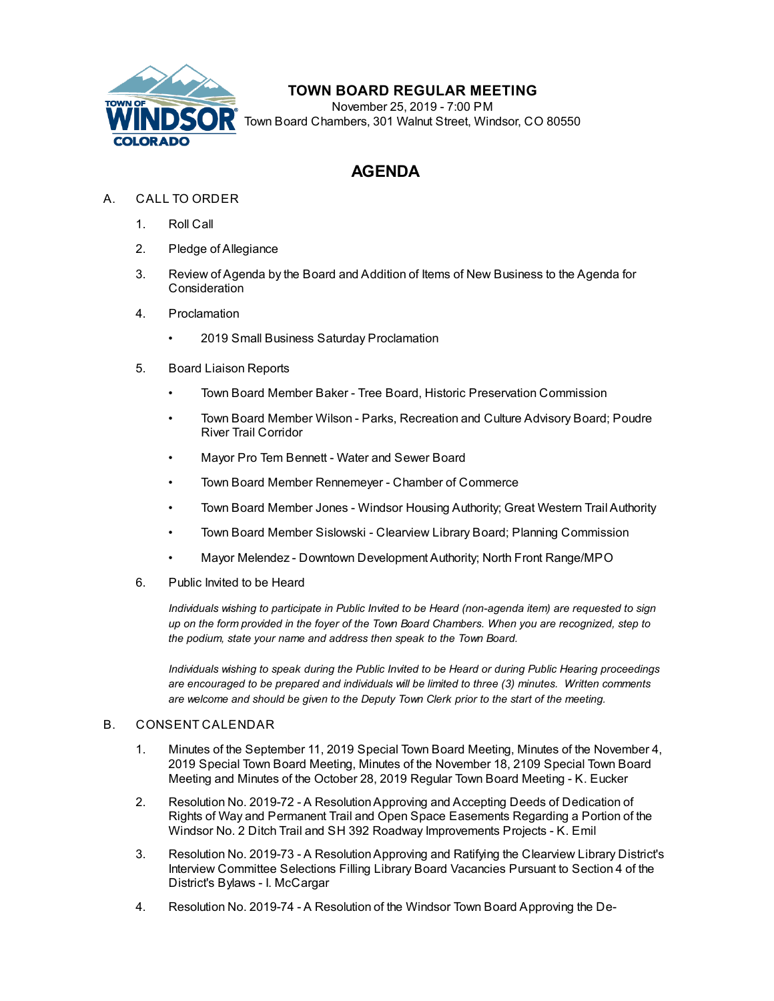

# **TOWN BOARD REGULAR MEETING**

November 25, 2019 - 7:00 PM Town Board Chambers, 301 Walnut Street, Windsor, CO 80550

# **AGENDA**

- A. CALL TO ORDER
	- 1. Roll Call
	- 2. Pledge of Allegiance
	- 3. Review of Agenda by the Board and Addition of Items of New Business to the Agenda for **Consideration**
	- 4. Proclamation
		- [2019 Small Business Saturday Proclamation](file:///C:/Windows/TEMP/CoverSheet.aspx?ItemID=576&MeetingID=51)
	- 5. Board Liaison Reports
		- Town Board Member Baker Tree Board, Historic Preservation Commission
		- Town Board Member Wilson Parks, Recreation and Culture Advisory Board; Poudre River Trail Corridor
		- Mayor Pro Tem Bennett Water and Sewer Board
		- Town Board Member Rennemeyer Chamber of Commerce
		- Town Board Member Jones Windsor Housing Authority; Great Western Trail Authority
		- Town Board Member Sislowski Clearview Library Board; Planning Commission
		- Mayor Melendez Downtown Development Authority; North Front Range/MPO
	- 6. Public Invited to be Heard

*Individuals wishing to participate in Public Invited to be Heard (non-agenda item) are requested to sign up on the form provided in the foyer of the Town Board Chambers. When you are recognized, step to the podium, state your name and address then speak to the Town Board.*

*Individuals wishing to speak during the Public Invited to be Heard or during Public Hearing proceedings are encouraged to be prepared and individuals will be limited to three (3) minutes. Written comments are welcome and should be given to the Deputy Town Clerk prior to the start of the meeting.*

#### B. CONSENT CALENDAR

- 1. [Minutes of the September 11, 2019 Special Town Board Meeting, Minutes of the November 4,](file:///C:/Windows/TEMP/CoverSheet.aspx?ItemID=642&MeetingID=51) 2019 Special Town Board Meeting, Minutes of the November 18, 2109 Special Town Board Meeting and Minutes of the October 28, 2019 Regular Town Board Meeting - K. Eucker
- 2. Resolution No. 2019-72 A Resolution Approving and Accepting Deeds of Dedication of [Rights of Way and Permanent Trail and Open Space Easements Regarding a Portion of the](file:///C:/Windows/TEMP/CoverSheet.aspx?ItemID=600&MeetingID=51) Windsor No. 2 Ditch Trail and SH 392 Roadway Improvements Projects - K. Emil
- 3. [Resolution No. 2019-73 A Resolution Approving and Ratifying the Clearview Library District's](file:///C:/Windows/TEMP/CoverSheet.aspx?ItemID=603&MeetingID=51) Interview Committee Selections Filling Library Board Vacancies Pursuant to Section 4 of the District's Bylaws - I. McCargar
- 4. [Resolution No. 2019-74 A Resolution of the Windsor Town Board Approving the De-](file:///C:/Windows/TEMP/CoverSheet.aspx?ItemID=610&MeetingID=51)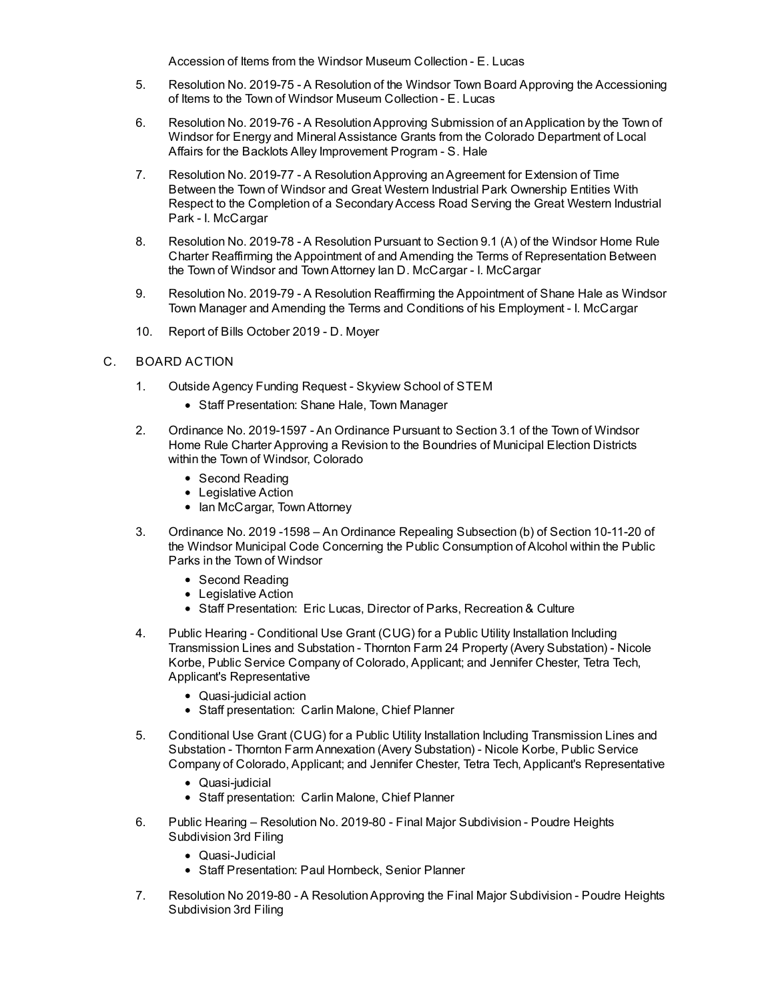Accession of Items from the Windsor Museum Collection - E. Lucas

- 5. [Resolution No. 2019-75 A Resolution of the Windsor Town Board Approving the Accessioning](file:///C:/Windows/TEMP/CoverSheet.aspx?ItemID=609&MeetingID=51) of Items to the Town of Windsor Museum Collection - E. Lucas
- 6. [Resolution No. 2019-76 A Resolution Approving Submission of an Application by the Town of](file:///C:/Windows/TEMP/CoverSheet.aspx?ItemID=614&MeetingID=51) Windsor for Energy and Mineral Assistance Grants from the Colorado Department of Local Affairs for the Backlots Alley Improvement Program - S. Hale
- 7. Resolution No. 2019-77 A Resolution Approving an Agreement for Extension of Time Between the Town of Windsor and Great Western Industrial Park Ownership Entities With [Respect to the Completion of a Secondary Access Road Serving the Great Western Industrial](file:///C:/Windows/TEMP/CoverSheet.aspx?ItemID=630&MeetingID=51) Park - I. McCargar
- 8. [Resolution No. 2019-78 A Resolution Pursuant to Section 9.1 \(A\) of the Windsor Home Rule](file:///C:/Windows/TEMP/CoverSheet.aspx?ItemID=633&MeetingID=51) Charter Reaffirming the Appointment of and Amending the Terms of Representation Between the Town of Windsor and Town Attorney Ian D. McCargar - I. McCargar
- 9. [Resolution No. 2019-79 A Resolution Reaffirming the Appointment of Shane Hale as Windsor](file:///C:/Windows/TEMP/CoverSheet.aspx?ItemID=634&MeetingID=51) Town Manager and Amending the Terms and Conditions of his Employment - I. McCargar
- 10. [Report of Bills October 2019 D. Moyer](file:///C:/Windows/TEMP/CoverSheet.aspx?ItemID=622&MeetingID=51)

## C. BOARD ACTION

- 1. [Outside Agency Funding Request Skyview School of STEM](file:///C:/Windows/TEMP/CoverSheet.aspx?ItemID=643&MeetingID=51)
	- Staff Presentation: Shane Hale, Town Manager
- 2. [Ordinance No. 2019-1597 An Ordinance Pursuant to Section 3.1 of the Town of Windsor](file:///C:/Windows/TEMP/CoverSheet.aspx?ItemID=644&MeetingID=51) Home Rule Charter Approving a Revision to the Boundries of Municipal Election Districts within the Town of Windsor, Colorado
	- Second Reading
	- Legislative Action
	- Ian McCargar, Town Attorney
- 3. Ordinance No. 2019 -1598 An Ordinance Repealing Subsection (b) of Section 10-11-20 of [the Windsor Municipal Code Concerning the Public Consumption of Alcohol within the Public](file:///C:/Windows/TEMP/CoverSheet.aspx?ItemID=611&MeetingID=51) Parks in the Town of Windsor
	- Second Reading
	- Legislative Action
	- Staff Presentation: Eric Lucas, Director of Parks, Recreation & Culture
- 4. Public Hearing Conditional Use Grant (CUG) for a Public Utility Installation Including [Transmission Lines and Substation - Thornton Farm 24 Property \(Avery Substation\) - Nicole](file:///C:/Windows/TEMP/CoverSheet.aspx?ItemID=631&MeetingID=51) Korbe, Public Service Company of Colorado, Applicant; and Jennifer Chester, Tetra Tech, Applicant's Representative
	- Quasi-judicial action
	- Staff presentation: Carlin Malone, Chief Planner
- 5. [Conditional Use Grant \(CUG\) for a Public Utility Installation Including Transmission Lines and](file:///C:/Windows/TEMP/CoverSheet.aspx?ItemID=632&MeetingID=51) Substation - Thornton Farm Annexation (Avery Substation) - Nicole Korbe, Public Service Company of Colorado, Applicant; and Jennifer Chester, Tetra Tech, Applicant's Representative
	- Quasi-judicial
	- Staff presentation: Carlin Malone, Chief Planner
- 6. [Public Hearing Resolution No. 2019-80 Final Major Subdivision Poudre Heights](file:///C:/Windows/TEMP/CoverSheet.aspx?ItemID=617&MeetingID=51) Subdivision 3rd Filing
	- Quasi-Judicial
	- Staff Presentation: Paul Hornbeck, Senior Planner
- 7. [Resolution No 2019-80 A Resolution Approving the Final Major Subdivision Poudre Heights](file:///C:/Windows/TEMP/CoverSheet.aspx?ItemID=618&MeetingID=51) Subdivision 3rd Filing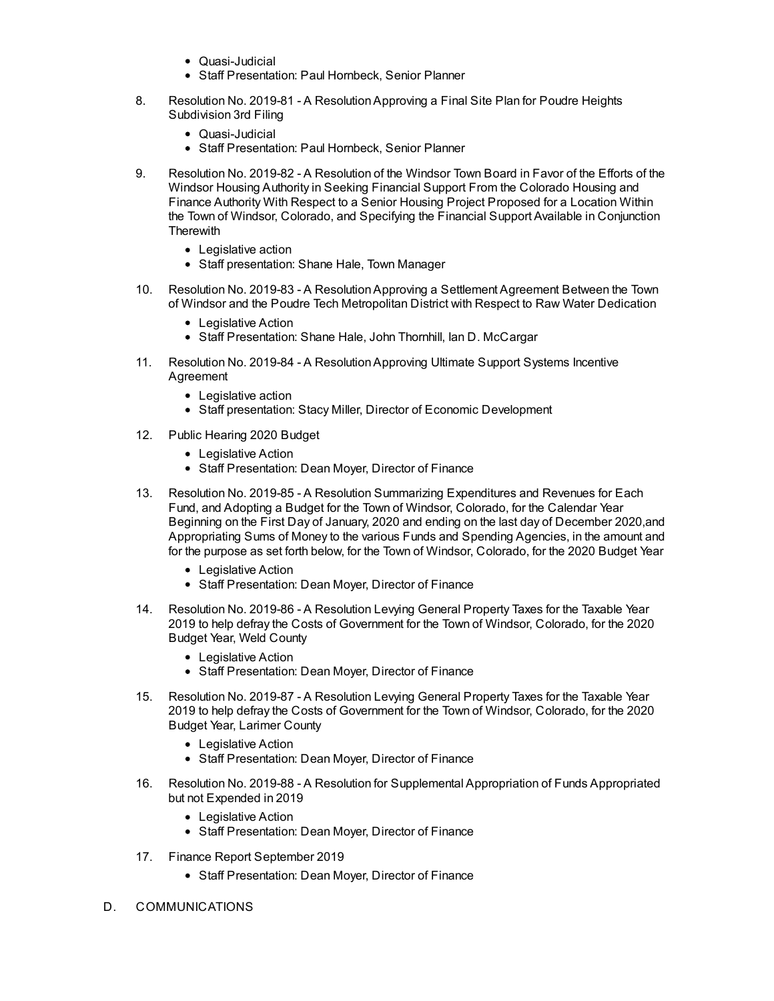- Quasi-Judicial
- Staff Presentation: Paul Hornbeck, Senior Planner
- 8. [Resolution No. 2019-81 A Resolution Approving a Final Site Plan for Poudre Heights](file:///C:/Windows/TEMP/CoverSheet.aspx?ItemID=619&MeetingID=51) Subdivision 3rd Filing
	- Quasi-Judicial
	- Staff Presentation: Paul Hornbeck, Senior Planner
- 9. [Resolution No. 2019-82 A Resolution of the Windsor Town Board in Favor of the Efforts of the](file:///C:/Windows/TEMP/CoverSheet.aspx?ItemID=636&MeetingID=51) Windsor Housing Authority in Seeking Financial Support From the Colorado Housing and Finance Authority With Respect to a Senior Housing Project Proposed for a Location Within the Town of Windsor, Colorado, and Specifying the Financial Support Available in Conjunction **Therewith** 
	- Legislative action
	- Staff presentation: Shane Hale, Town Manager
- 10. [Resolution No. 2019-83 A Resolution Approving a Settlement Agreement Between the Town](file:///C:/Windows/TEMP/CoverSheet.aspx?ItemID=615&MeetingID=51) of Windsor and the Poudre Tech Metropolitan District with Respect to Raw Water Dedication
	- Legislative Action
	- Staff Presentation: Shane Hale, John Thornhill, Ian D. McCargar
- 11. [Resolution No. 2019-84 A Resolution Approving Ultimate Support Systems Incentive](file:///C:/Windows/TEMP/CoverSheet.aspx?ItemID=625&MeetingID=51) Agreement
	- Legislative action
	- Staff presentation: Stacy Miller, Director of Economic Development
- 12. [Public Hearing 2020 Budget](file:///C:/Windows/TEMP/CoverSheet.aspx?ItemID=626&MeetingID=51)
	- Legislative Action
	- Staff Presentation: Dean Moyer, Director of Finance
- 13. Resolution No. 2019-85 A Resolution Summarizing Expenditures and Revenues for Each Fund, and Adopting a Budget for the Town of Windsor, Colorado, for the Calendar Year [Beginning on the First Day of January, 2020 and ending on the last day of December 2020,and](file:///C:/Windows/TEMP/CoverSheet.aspx?ItemID=627&MeetingID=51) Appropriating Sums of Money to the various Funds and Spending Agencies, in the amount and for the purpose as set forth below, for the Town of Windsor, Colorado, for the 2020 Budget Year
	- Legislative Action
	- Staff Presentation: Dean Moyer, Director of Finance
- 14. Resolution No. 2019-86 A Resolution Levying General Property Taxes for the Taxable Year [2019 to help defray the Costs of Government for the Town of Windsor, Colorado, for the 2020](file:///C:/Windows/TEMP/CoverSheet.aspx?ItemID=628&MeetingID=51) Budget Year, Weld County
	- Legislative Action
	- Staff Presentation: Dean Moyer, Director of Finance
- 15. Resolution No. 2019-87 A Resolution Levying General Property Taxes for the Taxable Year [2019 to help defray the Costs of Government for the Town of Windsor, Colorado, for the 2020](file:///C:/Windows/TEMP/CoverSheet.aspx?ItemID=629&MeetingID=51) Budget Year, Larimer County
	- Legislative Action
	- Staff Presentation: Dean Moyer, Director of Finance
- 16. [Resolution No. 2019-88 A Resolution for Supplemental Appropriation of Funds Appropriated](file:///C:/Windows/TEMP/CoverSheet.aspx?ItemID=635&MeetingID=51) but not Expended in 2019
	- Legislative Action
	- Staff Presentation: Dean Moyer, Director of Finance
- 17. [Finance Report September 2019](file:///C:/Windows/TEMP/CoverSheet.aspx?ItemID=621&MeetingID=51)
	- Staff Presentation: Dean Moyer, Director of Finance
- D. COMMUNICATIONS